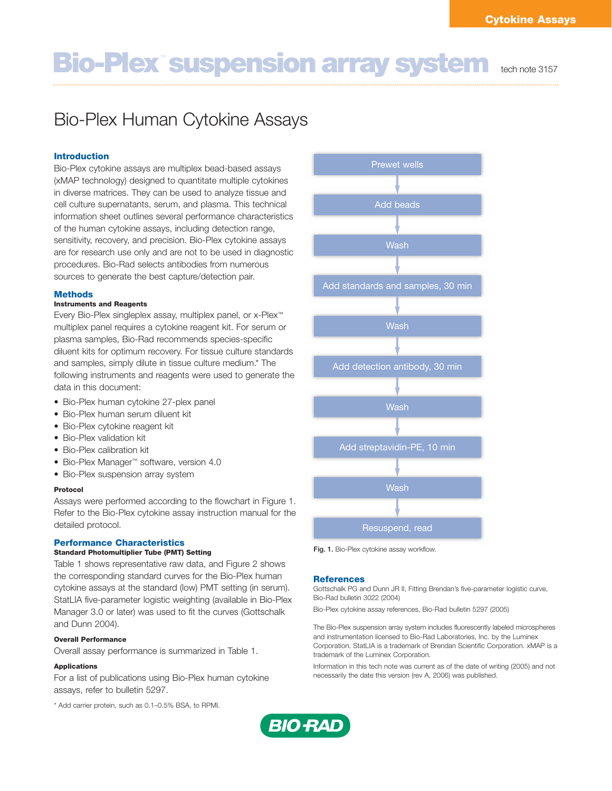# **Bio-Plex<sup>™</sup> suspension array system tech note 3157**

# Bio-Plex Human Cytokine Assays

### **Introduction**

Bio-Plex cytokine assays are multiplex bead-based assays (xMAP technology) designed to quantitate multiple cytokines in diverse matrices. They can be used to analyze tissue and cell culture supernatants, serum, and plasma. This technical information sheet outlines several performance characteristics of the human cytokine assays, including detection range, sensitivity, recovery, and precision. Bio-Plex cytokine assays are for research use only and are not to be used in diagnostic procedures. Bio-Rad selects antibodies from numerous sources to generate the best capture/detection pair.

#### **Methods**

#### **Instruments and Reagents**

Every Bio-Plex singleplex assay, multiplex panel, or x-Plex™ multiplex panel requires a cytokine reagent kit. For serum or plasma samples, Bio-Rad recommends species-specific diluent kits for optimum recovery. For tissue culture standards and samples, simply dilute in tissue culture medium.\* The following instruments and reagents were used to generate the data in this document:

- Bio-Plex human cytokine 27-plex panel
- Bio-Plex human serum diluent kit
- Bio-Plex cytokine reagent kit
- Bio-Plex validation kit
- Bio-Plex calibration kit
- Bio-Plex Manager™ software, version 4.0
- Bio-Plex suspension array system

#### **Protocol**

Assays were performed according to the flowchart in Figure 1. Refer to the Bio-Plex cytokine assay instruction manual for the detailed protocol.

#### **Performance Characteristics Standard Photomultiplier Tube (PMT) Setting**

Table 1 shows representative raw data, and Figure 2 shows the corresponding standard curves for the Bio-Plex human cytokine assays at the standard (low) PMT setting (in serum). StatLIA five-parameter logistic weighting (available in Bio-Plex Manager 3.0 or later) was used to fit the curves (Gottschalk

## and Dunn 2004). **Overall Performance**

Overall assay performance is summarized in Table 1.

#### **Applications**

For a list of publications using Bio-Plex human cytokine assays, refer to bulletin 5297.

\* Add carrier protein, such as 0.1–0.5% BSA, to RPMI.



**Fig. 1.** Bio-Plex cytokine assay workflow.

#### **References**

Gottschalk PG and Dunn JR II, Fitting Brendan's five-parameter logistic curve, Bio-Rad bulletin 3022 (2004)

Bio-Plex cytokine assay references, Bio-Rad bulletin 5297 (2005)

The Bio-Plex suspension array system includes fluorescently labeled microspheres and instrumentation licensed to Bio-Rad Laboratories, Inc. by the Luminex Corporation. StatLIA is a trademark of Brendan Scientific Corporation. xMAP is a trademark of the Luminex Corporation.

Information in this tech note was current as of the date of writing (2005) and not necessarily the date this version (rev A, 2006) was published.